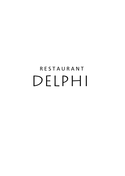# **RESTAURANT** DELPHI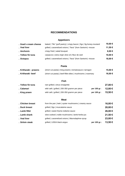# **RECOMMENDATIONS**

#### **Appetizers**

| . Goat's cream cheese | baked   "filo" (puff pastry)   crispy bacon   figs   fig-honey-mustard | 10,00€  |
|-----------------------|------------------------------------------------------------------------|---------|
| . Veal liver          | grilled   caramelized onions   "fava" (from Santorin) -mouse           | 11,50 € |
| . Anchovis            | crispy fried   salad bouquet                                           | 8,00€   |
| . Yellow fin tuna     | carpaccio   extra virgin olive oil   fleur de seel                     | 10,00€  |
| . Octopus             | grilled   caramelized onions   "fava" (from Santorin) -mouse           | 18,00€  |

#### **Pasta**

| . Kritharaki - prawns | (short cut pasta)   king prawns   tomatosauce   tarragon      | 15,00 € |
|-----------------------|---------------------------------------------------------------|---------|
| . Kritharaki -beef    | (short cut pasta)   beef-fillet-slites   mushrooms   rosemary | 16,00€  |

#### **Fish**

| . Yellow fin tuna | rare grilled   citrus-vinaigrette             |              | 27,00€  |
|-------------------|-----------------------------------------------|--------------|---------|
| . Calamari        | wild cath   grilled   200-350 gramm per piece | per 100 gr.: | 12,00 € |
| . King prawn      | wild cath   grilled   200-350 gramm per piece | per 100 gr.: | 15,50€  |

#### **Meat**

| . Chicken breast | from the pan   leek   oyster mushrooms   creamy sauce |              | 16,00€ |
|------------------|-------------------------------------------------------|--------------|--------|
| . Duck breast    | grilled   figs   muscatwine-sauce                     |              | 20,00€ |
| . Lamb fillet    | grilled   sweet thyme-redwine-sauce                   |              | 26,00€ |
| . Lamb shank     | slow cooked   noble mushrooms   lamb-herbs-jus        |              | 21,50€ |
| . Veal liver     | grilled   caramelized onions   Mavrodaphne-syrup      |              | 23,00€ |
| . Sirloin steak  | grilled   USDA black angus                            | per 100 gr.: | 13,50€ |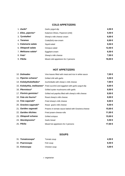## **COLD APPETIZERS**

| 1. <b>Zaziki</b> *   | Garlic-yogurt-dip                   | 4,50€   |
|----------------------|-------------------------------------|---------|
| 2. Elies, piperies*  | Kalamon-Olives, Peperoni (chili)    | 5,50€   |
| 3. Tyrokafteri       | Sheep's milk cheese cream           | 6,00€   |
| 4. Taramas           | Code(fish)-raw-cream                | 6,00€   |
| 5. Kalamaria salata  | Squid-salad                         | 9,50€   |
| 6. Oktapodi salata   | Octopus-salad                       | 12,50 € |
| 7. Melitzana salata* | Eggplant-cream                      | 6,50€   |
| 8. Feta*             | Sheep's milk cheese                 | 7,00 €  |
| 9. Pikilia           | Mixed cold appetizers for 2 persons | 16,00€  |

## **HOT APPETIZERS**

| 10. Dolmades           | Vine leaves filled with meat and rice in white sauce                           | 7,00 €  |
|------------------------|--------------------------------------------------------------------------------|---------|
| 11. Piperies scharas*  | Grilled chili with garlic                                                      | 5,50€   |
| 14. Kolokythokeftedes* | Zuchiniballs with sheep's milk cheese                                          | 7,00 €  |
|                        | 15. Kolokythia, melitzanes* Fried zucchini and eggplant with garlic-yogurt-dip | 8,00€   |
| 16. Plevrotous*        | Grilled oyster mushrooms with garlic                                           | 8,00€   |
| 17. Florinis gemistes* | Grilled red paprika filled with sheep's milk cheese                            | 8,00€   |
| 18. Feta sto fourno*   | Roast sheep's milk cheese                                                      | 8,00€   |
| 19. Feta saganaki*     | Fried sheep's milk cheese                                                      | 8,00€   |
| 20. Graviera saganaki* | Roast goat's milk cheese                                                       | 9,50€   |
| 21. Garides saganaki   | Prawns in tomato sauce baked with Graviera-cheese                              | 15,00€  |
| 22. Garides tilichtes  | Fried prawn-cheese-rolls                                                       | 11,00 € |
| 23. Oktapodi scharas   | Grilled octopus                                                                | 15,00€  |
| 24. Skordopsomo*       | Garlic bread                                                                   | 5,50€   |
| 25. Pikilia            | Mixed hot appetizers for 2 persons                                             | 17,00€  |

## **SOUPS**

| 31. Tomatosoupa* | Tomato soup  | 4.50€  |
|------------------|--------------|--------|
| 32. Psarosoupa   | Fish soup    | 6.50€  |
| 33. Kotosoupa    | Chicken soup | 5,00 € |

*\** vegetarian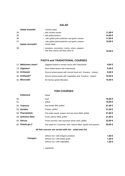#### **SALAD**

| Salata anamikti    | Colorful salad                                                                        |         |
|--------------------|---------------------------------------------------------------------------------------|---------|
| 34.                | - with chicken breast                                                                 | 11,00 € |
| 35.                | - with grilled prawns                                                                 | 14,00 € |
| 36.                | - with grilled pork-tenderloin and goat's cheese                                      | 11,00 € |
| 37.                | - with grilled beef-tenderloin and goat's cheese                                      | 15,00 € |
| Salata choriatiki* | Greek salad                                                                           |         |
| 38.                | - tomatoes, cucumbers, onions, olives, peppers<br>with feta cheese and best olive oil | 10.50€  |

# **PASTA and TRADIOTIONAL COURSES**

| 12. Melitzanes Imam* | Eggplant baked in tomato sauce with Fetacheese             | 9,00 € |
|----------------------|------------------------------------------------------------|--------|
| 13. Gigantes*        | Giant baked beans with Fetacheese                          | 8,50€  |
| 39. Kritharaki       | (Durum wheat pasta) with minced meat and Graviera - cheese | 8,50€  |
| 40. Kritharaki*      | (Durum wheat pasta) with vegetables and Graviera - cheese  | 10,50€ |
| 42. Moussaka         | the famous greek Mousaka                                   | 15,50€ |

## **FISH COURSES**

|     | <b>Kalamaria</b>   | Squid                                                            |        |
|-----|--------------------|------------------------------------------------------------------|--------|
| 50. |                    | - fried                                                          | 18,00€ |
| 51. |                    | - grilled                                                        | 18,00€ |
|     | 52. Tsipoura       | Sea bream fillet, grilled                                        | 21,00€ |
|     | 53. Garides        | Prawns, grilled                                                  | 21,50€ |
|     | 58. Psaropiatela   | Fish plate (squid, prawns and sea bram-fillet), grilled          | 21,00€ |
|     | 59. Solomos fileto | Fresh salmon filled, grilled                                     | 21,00€ |
|     | 63. Glossa         | Fresh common sole (synonym dover sole), grilled                  | 32,00€ |
|     | 65. Piatela gia 2  | Fish plate for 2 (common sole, salmon filled, squids and prawns) | 55,00€ |

#### *All fish courses are served with mix - salad and rice*

|                 | without rice / with oregano potatoes | 1.00 € |
|-----------------|--------------------------------------|--------|
| <b>Changes:</b> | without rice / with potato gratin    | 1,50 € |
|                 | without rice / with vegetables       | 1.50 € |

*\** vegetarian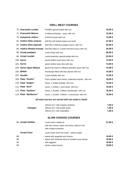# **GRILL MEAT COURSES**

|     | 70. Psaronefri suvlaki       | Porkfilet special kebab with rice                         | 16,50€ |
|-----|------------------------------|-----------------------------------------------------------|--------|
|     | 71. Psaronefri Metaxa        | in Metaxa (brandy) - sauce with rice                      | 16,50€ |
|     | 76. Kotopoulo stithos        | Chicken-breast with rice                                  | 13,00€ |
|     | 81. Vodino fileto scharas    | beff filet with baked potato and zaziki                   | 27,00€ |
|     | 82. Vodino fileto piperato   | beef filet in delicious pepper-sauce, with rice           | 28,50€ |
|     | 84. Vodina filetakia krasata | beef filet slites in a sweet red-wine-sauce with rice     | 24,00€ |
|     | 85. Arnaki paidakia          | Lamb chops with rice                                      | 20,00€ |
|     | 86. Arnaki suvlaki           | Lamb tenderloin special kebab with rice                   | 22,50€ |
|     | 100. Gyros                   | (pork) Grilled meat slices with rice                      | 12,50€ |
|     | 101. Gyros                   | (pork) Grilled meat slice with pita                       | 13,00€ |
|     | 103. Gyros tigani Metaxa     | (pork) Pan-Gyros in Metaxa (brandy) sauce with rice       | 15,00€ |
|     | 105. Bifteki                 | Hamburger filled with feta-cheese with rice               | 14,50€ |
|     | 107. Suvlaki                 | 2 pork-kebabs with rice                                   | 12,50€ |
|     | 109. Piato "Duetto"          | Gyros (grilled meat slices), Kalamaria (squid), with rice | 18,00€ |
|     | 110. Piato "Delphi"          | Gyros, 1 Suflaki (kebab) with rice                        | 14,50€ |
|     | 111. Piato "Dorf"            | Gyros, 1 Suflaki, 1 pork-steak with rice                  | 16,00€ |
|     | 112. Piato "Apollon"         | Gyros, 1 Suvlaki, 1 Bifteki (hamburger) with rice         | 16,50€ |
|     | 114. Piato "Epidauros"       | Gyros, 1 Suvlaki, 1 Bifteki, 1 Lammchop with rice         | 18,50€ |
|     |                              | All meat courses are served with mix-salad or Zaziki      |        |
|     |                              | without rice / with oregano potatoes                      | 1,00 € |
|     | <b>Changes:</b>              | without rice / with potato gratin                         | 1,50 € |
|     |                              | without rice / with vegetables                            | 1,50€  |
|     |                              | <b>SLOW COOKED COURSES</b>                                |        |
|     | 88. Arnaki Kleftiko          | Lamb-shank traditional                                    | 21,00€ |
|     |                              | with feta cheese, garlic and herbs, baked in foil         |        |
|     |                              | with oregano-potatoes                                     |        |
|     | <b>Arnaki Kotsi</b>          | Lamb-shank (from the oven) - without salad                |        |
| 89. |                              | - baked with spaghetti and cheese                         | 18,00€ |
| 90. |                              | - baked with Kritharaki (kind of noodles) and cheese      | 18,00€ |
| 92. |                              | - with eggplant                                           | 19,00€ |
| 93. |                              | - whole cooked onions                                     | 19,00€ |